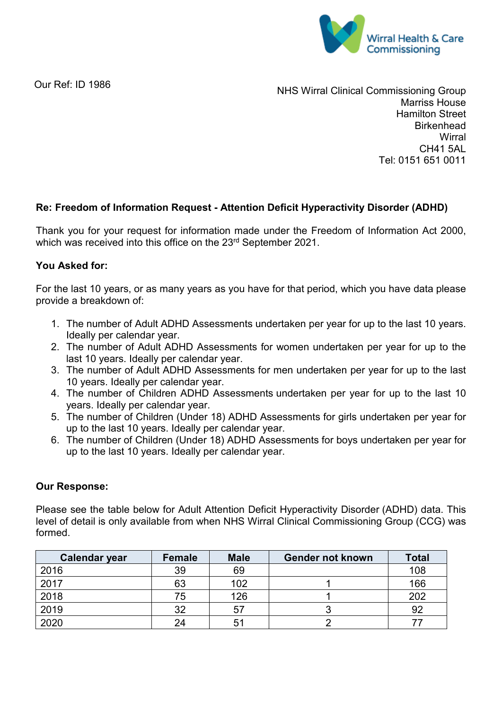

Our Ref: ID 1986

NHS Wirral Clinical Commissioning Group Marriss House Hamilton Street **Birkenhead Wirral** CH41 5AL Tel: 0151 651 0011

## **Re: Freedom of Information Request - Attention Deficit Hyperactivity Disorder (ADHD)**

Thank you for your request for information made under the Freedom of Information Act 2000, which was received into this office on the 23rd September 2021.

## **You Asked for:**

For the last 10 years, or as many years as you have for that period, which you have data please provide a breakdown of:

- 1. The number of Adult ADHD Assessments undertaken per year for up to the last 10 years. Ideally per calendar year.
- 2. The number of Adult ADHD Assessments for women undertaken per year for up to the last 10 years. Ideally per calendar year.
- 3. The number of Adult ADHD Assessments for men undertaken per year for up to the last 10 years. Ideally per calendar year.
- 4. The number of Children ADHD Assessments undertaken per year for up to the last 10 years. Ideally per calendar year.
- 5. The number of Children (Under 18) ADHD Assessments for girls undertaken per year for up to the last 10 years. Ideally per calendar year.
- 6. The number of Children (Under 18) ADHD Assessments for boys undertaken per year for up to the last 10 years. Ideally per calendar year.

## **Our Response:**

Please see the table below for Adult Attention Deficit Hyperactivity Disorder (ADHD) data. This level of detail is only available from when NHS Wirral Clinical Commissioning Group (CCG) was formed.

| <b>Calendar year</b> | Female | <b>Male</b> | <b>Gender not known</b> | <b>Total</b> |
|----------------------|--------|-------------|-------------------------|--------------|
| 2016                 | 39     | 69          |                         | 108          |
| 2017                 | 63     | 102         |                         | 166          |
| 2018                 | 75     | 126         |                         | 202          |
| 2019                 | 32     | 57          |                         | 92           |
| 2020                 | 24     | 51          |                         |              |